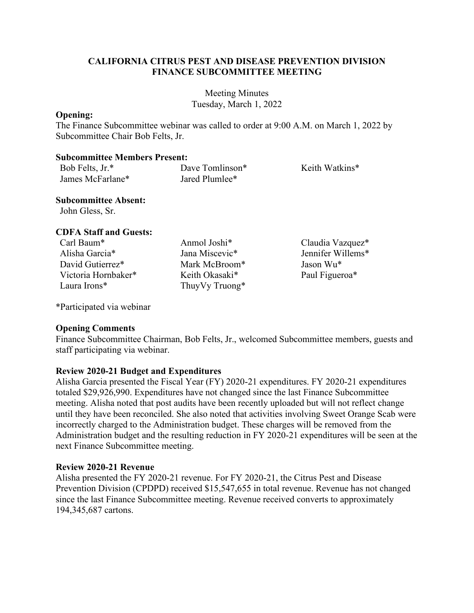## **CALIFORNIA CITRUS PEST AND DISEASE PREVENTION DIVISION FINANCE SUBCOMMITTEE MEETING**

Meeting Minutes Tuesday, March 1, 2022

### **Opening:**

The Finance Subcommittee webinar was called to order at 9:00 A.M. on March 1, 2022 by Subcommittee Chair Bob Felts, Jr.

#### **Subcommittee Members Present:**

| Bob Felts, Jr.*  | Dave Tomlinson* | Keith Watkins* |
|------------------|-----------------|----------------|
| James McFarlane* | Jared Plumlee*  |                |

## **Subcommittee Absent:**

John Gless, Sr.

# **CDFA Staff and Guests:**

- Alisha Garcia\* Jana Miscevic\* Jennifer Willems\* David Gutierrez\* Mark McBroom\* Jason Wu\* Victoria Hornbaker\* Keith Okasaki\* Paul Figueroa\* Laura Irons\* ThuyVy Truong\*
- 

Carl Baum\* Anmol Joshi\* Claudia Vazquez\*

\*Participated via webinar

### **Opening Comments**

Finance Subcommittee Chairman, Bob Felts, Jr., welcomed Subcommittee members, guests and staff participating via webinar.

# **Review 2020-21 Budget and Expenditures**

 Alisha Garcia presented the Fiscal Year (FY) 2020-21 expenditures. FY 2020-21 expenditures meeting. Alisha noted that post audits have been recently uploaded but will not reflect change next Finance Subcommittee meeting. totaled \$29,926,990. Expenditures have not changed since the last Finance Subcommittee until they have been reconciled. She also noted that activities involving Sweet Orange Scab were incorrectly charged to the Administration budget. These charges will be removed from the Administration budget and the resulting reduction in FY 2020-21 expenditures will be seen at the

### **Review 2020-21 Revenue**

 Alisha presented the FY 2020-21 revenue. For FY 2020-21, the Citrus Pest and Disease Prevention Division (CPDPD) received \$15,547,655 in total revenue. Revenue has not changed since the last Finance Subcommittee meeting. Revenue received converts to approximately 194,345,687 cartons.